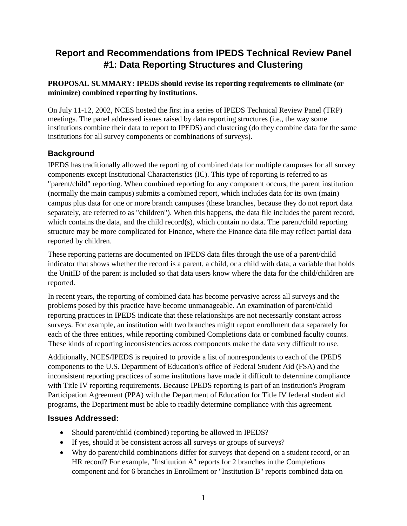# **Report and Recommendations from IPEDS Technical Review Panel #1: Data Reporting Structures and Clustering**

### **PROPOSAL SUMMARY: IPEDS should revise its reporting requirements to eliminate (or minimize) combined reporting by institutions.**

On July 11-12, 2002, NCES hosted the first in a series of IPEDS Technical Review Panel (TRP) meetings. The panel addressed issues raised by data reporting structures (i.e., the way some institutions combine their data to report to IPEDS) and clustering (do they combine data for the same institutions for all survey components or combinations of surveys).

# **Background**

IPEDS has traditionally allowed the reporting of combined data for multiple campuses for all survey components except Institutional Characteristics (IC). This type of reporting is referred to as "parent/child" reporting. When combined reporting for any component occurs, the parent institution (normally the main campus) submits a combined report, which includes data for its own (main) campus plus data for one or more branch campuses (these branches, because they do not report data separately, are referred to as "children"). When this happens, the data file includes the parent record, which contains the data, and the child record(s), which contain no data. The parent/child reporting structure may be more complicated for Finance, where the Finance data file may reflect partial data reported by children.

These reporting patterns are documented on IPEDS data files through the use of a parent/child indicator that shows whether the record is a parent, a child, or a child with data; a variable that holds the UnitID of the parent is included so that data users know where the data for the child/children are reported.

In recent years, the reporting of combined data has become pervasive across all surveys and the problems posed by this practice have become unmanageable. An examination of parent/child reporting practices in IPEDS indicate that these relationships are not necessarily constant across surveys. For example, an institution with two branches might report enrollment data separately for each of the three entities, while reporting combined Completions data or combined faculty counts. These kinds of reporting inconsistencies across components make the data very difficult to use.

Additionally, NCES/IPEDS is required to provide a list of nonrespondents to each of the IPEDS components to the U.S. Department of Education's office of Federal Student Aid (FSA) and the inconsistent reporting practices of some institutions have made it difficult to determine compliance with Title IV reporting requirements. Because IPEDS reporting is part of an institution's Program Participation Agreement (PPA) with the Department of Education for Title IV federal student aid programs, the Department must be able to readily determine compliance with this agreement.

## **Issues Addressed:**

- Should parent/child (combined) reporting be allowed in IPEDS?
- If yes, should it be consistent across all surveys or groups of surveys?
- Why do parent/child combinations differ for surveys that depend on a student record, or an HR record? For example, "Institution A" reports for 2 branches in the Completions component and for 6 branches in Enrollment or "Institution B" reports combined data on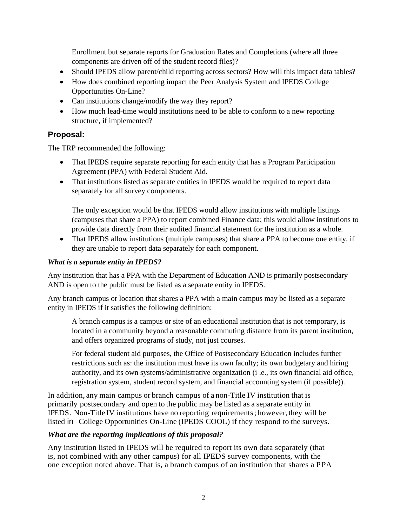Enrollment but separate reports for Graduation Rates and Completions (where all three components are driven off of the student record files)?

- Should IPEDS allow parent/child reporting across sectors? How will this impact data tables?
- How does combined reporting impact the Peer Analysis System and IPEDS College Opportunities On-Line?
- Can institutions change/modify the way they report?
- How much lead-time would institutions need to be able to conform to a new reporting structure, if implemented?

## **Proposal:**

The TRP recommended the following:

- That IPEDS require separate reporting for each entity that has a Program Participation Agreement (PPA) with Federal Student Aid.
- That institutions listed as separate entities in IPEDS would be required to report data separately for all survey components.

The only exception would be that IPEDS would allow institutions with multiple listings (campuses that share a PPA) to report combined Finance data; this would allow institutions to provide data directly from their audited financial statement for the institution as a whole.

• That IPEDS allow institutions (multiple campuses) that share a PPA to become one entity, if they are unable to report data separately for each component.

#### *What is a separate entity in IPEDS?*

Any institution that has a PPA with the Department of Education AND is primarily postsecondary AND is open to the public must be listed as a separate entity in IPEDS.

Any branch campus or location that shares a PPA with a main campus may be listed as a separate entity in IPEDS if it satisfies the following definition:

A branch campus is a campus or site of an educational institution that is not temporary, is located in a community beyond a reasonable commuting distance from its parent institution, and offers organized programs of study, not just courses.

For federal student aid purposes, the Office of Postsecondary Education includes further restrictions such as: the institution must have its own faculty; its own budgetary and hiring authority, and its own systems/administrative organization (i .e., its own financial aid office, registration system, student record system, and financial accounting system (if possible)).

In addition, any main campus or branch campus of a non-Title IV institution that is primarily postsecondary and open to the public may be listed as a separate entity in IPEDS. Non-Title IV institutions have no reporting requirements; however, they will be listed in College Opportunities On-Line (IPEDS COOL) if they respond to the surveys.

#### *What are the reporting implications of this proposal?*

Any institution listed in IPEDS will be required to report its own data separately (that is, not combined with any other campus) for all IPEDS survey components, with the one exception noted above. That is, a branch campus of an institution that shares a PPA